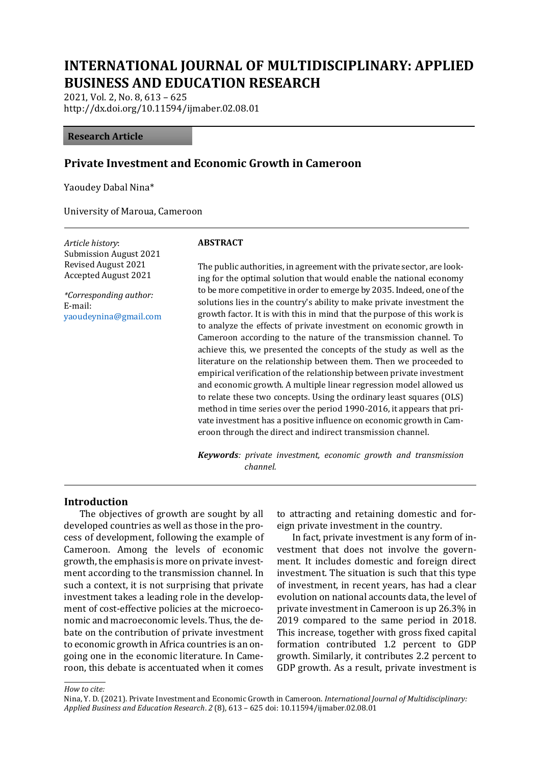# **INTERNATIONAL JOURNAL OF MULTIDISCIPLINARY: APPLIED BUSINESS AND EDUCATION RESEARCH**

2021, Vol. 2, No. 8, 613 – 625 http://dx.doi.org/10.11594/ijmaber.02.08.01

#### **Research Article**

#### **Private Investment and Economic Growth in Cameroon**

Yaoudey Dabal Nina\*

University of Maroua, Cameroon

*Article history*: Submission August 2021 Revised August 2021 Accepted August 2021

*\*Corresponding author:* E-mail: yaoudeynina@gmail.com

#### **ABSTRACT**

The public authorities, in agreement with the private sector, are looking for the optimal solution that would enable the national economy to be more competitive in order to emerge by 2035. Indeed, one of the solutions lies in the country's ability to make private investment the growth factor. It is with this in mind that the purpose of this work is to analyze the effects of private investment on economic growth in Cameroon according to the nature of the transmission channel. To achieve this, we presented the concepts of the study as well as the literature on the relationship between them. Then we proceeded to empirical verification of the relationship between private investment and economic growth. A multiple linear regression model allowed us to relate these two concepts. Using the ordinary least squares (OLS) method in time series over the period 1990-2016, it appears that private investment has a positive influence on economic growth in Cameroon through the direct and indirect transmission channel.

*Keywords: private investment, economic growth and transmission channel.*

#### **Introduction**

The objectives of growth are sought by all developed countries as well as those in the process of development, following the example of Cameroon. Among the levels of economic growth, the emphasis is more on private investment according to the transmission channel. In such a context, it is not surprising that private investment takes a leading role in the development of cost-effective policies at the microeconomic and macroeconomic levels. Thus, the debate on the contribution of private investment to economic growth in Africa countries is an ongoing one in the economic literature. In Cameroon, this debate is accentuated when it comes

to attracting and retaining domestic and foreign private investment in the country.

In fact, private investment is any form of investment that does not involve the government. It includes domestic and foreign direct investment. The situation is such that this type of investment, in recent years, has had a clear evolution on national accounts data, the level of private investment in Cameroon is up 26.3% in 2019 compared to the same period in 2018. This increase, together with gross fixed capital formation contributed 1.2 percent to GDP growth. Similarly, it contributes 2.2 percent to GDP growth. As a result, private investment is

*How to cite:*

Nina, Y. D. (2021). Private Investment and Economic Growth in Cameroon. *International Journal of Multidisciplinary: Applied Business and Education Research*. *2* (8), 613 – 625 doi: 10.11594/ijmaber.02.08.01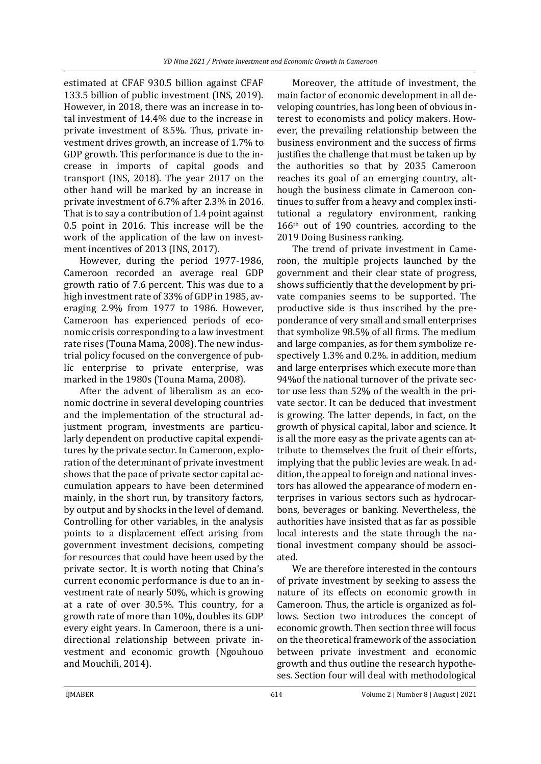estimated at CFAF 930.5 billion against CFAF 133.5 billion of public investment (INS, 2019). However, in 2018, there was an increase in total investment of 14.4% due to the increase in private investment of 8.5%. Thus, private investment drives growth, an increase of 1.7% to GDP growth. This performance is due to the increase in imports of capital goods and transport (INS, 2018). The year 2017 on the other hand will be marked by an increase in private investment of 6.7% after 2.3% in 2016. That is to say a contribution of 1.4 point against 0.5 point in 2016. This increase will be the work of the application of the law on investment incentives of 2013 (INS, 2017).

However, during the period 1977-1986, Cameroon recorded an average real GDP growth ratio of 7.6 percent. This was due to a high investment rate of 33% of GDP in 1985, averaging 2.9% from 1977 to 1986. However, Cameroon has experienced periods of economic crisis corresponding to a law investment rate rises (Touna Mama, 2008). The new industrial policy focused on the convergence of public enterprise to private enterprise, was marked in the 1980s (Touna Mama, 2008).

After the advent of liberalism as an economic doctrine in several developing countries and the implementation of the structural adjustment program, investments are particularly dependent on productive capital expenditures by the private sector. In Cameroon, exploration of the determinant of private investment shows that the pace of private sector capital accumulation appears to have been determined mainly, in the short run, by transitory factors, by output and by shocks in the level of demand. Controlling for other variables, in the analysis points to a displacement effect arising from government investment decisions, competing for resources that could have been used by the private sector. It is worth noting that China's current economic performance is due to an investment rate of nearly 50%, which is growing at a rate of over 30.5%. This country, for a growth rate of more than 10%, doubles its GDP every eight years. In Cameroon, there is a unidirectional relationship between private investment and economic growth (Ngouhouo and Mouchili, 2014).

Moreover, the attitude of investment, the main factor of economic development in all developing countries, has long been of obvious interest to economists and policy makers. However, the prevailing relationship between the business environment and the success of firms justifies the challenge that must be taken up by the authorities so that by 2035 Cameroon reaches its goal of an emerging country, although the business climate in Cameroon continues to suffer from a heavy and complex institutional a regulatory environment, ranking 166th out of 190 countries, according to the 2019 Doing Business ranking.

The trend of private investment in Cameroon, the multiple projects launched by the government and their clear state of progress, shows sufficiently that the development by private companies seems to be supported. The productive side is thus inscribed by the preponderance of very small and small enterprises that symbolize 98.5% of all firms. The medium and large companies, as for them symbolize respectively 1.3% and 0.2%. in addition, medium and large enterprises which execute more than 94%of the national turnover of the private sector use less than 52% of the wealth in the private sector. It can be deduced that investment is growing. The latter depends, in fact, on the growth of physical capital, labor and science. It is all the more easy as the private agents can attribute to themselves the fruit of their efforts, implying that the public levies are weak. In addition, the appeal to foreign and national investors has allowed the appearance of modern enterprises in various sectors such as hydrocarbons, beverages or banking. Nevertheless, the authorities have insisted that as far as possible local interests and the state through the national investment company should be associated.

We are therefore interested in the contours of private investment by seeking to assess the nature of its effects on economic growth in Cameroon. Thus, the article is organized as follows. Section two introduces the concept of economic growth. Then section three will focus on the theoretical framework of the association between private investment and economic growth and thus outline the research hypotheses. Section four will deal with methodological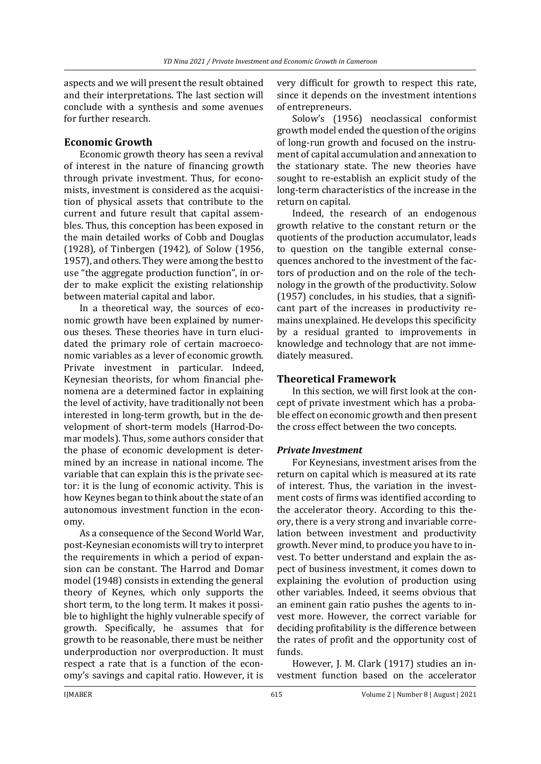aspects and we will present the result obtained and their interpretations. The last section will conclude with a synthesis and some avenues for further research.

# **Economic Growth**

Economic growth theory has seen a revival of interest in the nature of financing growth through private investment. Thus, for economists, investment is considered as the acquisition of physical assets that contribute to the current and future result that capital assembles. Thus, this conception has been exposed in the main detailed works of Cobb and Douglas (1928), of Tinbergen (1942), of Solow (1956, 1957), and others. They were among the best to use "the aggregate production function", in order to make explicit the existing relationship between material capital and labor.

In a theoretical way, the sources of economic growth have been explained by numerous theses. These theories have in turn elucidated the primary role of certain macroeconomic variables as a lever of economic growth. Private investment in particular. Indeed, Keynesian theorists, for whom financial phenomena are a determined factor in explaining the level of activity, have traditionally not been interested in long-term growth, but in the development of short-term models (Harrod-Domar models). Thus, some authors consider that the phase of economic development is determined by an increase in national income. The variable that can explain this is the private sector: it is the lung of economic activity. This is how Keynes began to think about the state of an autonomous investment function in the economy.

As a consequence of the Second World War, post-Keynesian economists will try to interpret the requirements in which a period of expansion can be constant. The Harrod and Domar model (1948) consists in extending the general theory of Keynes, which only supports the short term, to the long term. It makes it possible to highlight the highly vulnerable specify of growth. Specifically, he assumes that for growth to be reasonable, there must be neither underproduction nor overproduction. It must respect a rate that is a function of the economy's savings and capital ratio. However, it is very difficult for growth to respect this rate, since it depends on the investment intentions of entrepreneurs.

Solow's (1956) neoclassical conformist growth model ended the question of the origins of long-run growth and focused on the instrument of capital accumulation and annexation to the stationary state. The new theories have sought to re-establish an explicit study of the long-term characteristics of the increase in the return on capital.

Indeed, the research of an endogenous growth relative to the constant return or the quotients of the production accumulator, leads to question on the tangible external consequences anchored to the investment of the factors of production and on the role of the technology in the growth of the productivity. Solow (1957) concludes, in his studies, that a significant part of the increases in productivity remains unexplained. He develops this specificity by a residual granted to improvements in knowledge and technology that are not immediately measured.

# **Theoretical Framework**

In this section, we will first look at the concept of private investment which has a probable effect on economic growth and then present the cross effect between the two concepts.

#### *Private Investment*

For Keynesians, investment arises from the return on capital which is measured at its rate of interest. Thus, the variation in the investment costs of firms was identified according to the accelerator theory. According to this theory, there is a very strong and invariable correlation between investment and productivity growth. Never mind, to produce you have to invest. To better understand and explain the aspect of business investment, it comes down to explaining the evolution of production using other variables. Indeed, it seems obvious that an eminent gain ratio pushes the agents to invest more. However, the correct variable for deciding profitability is the difference between the rates of profit and the opportunity cost of funds.

However, J. M. Clark (1917) studies an investment function based on the accelerator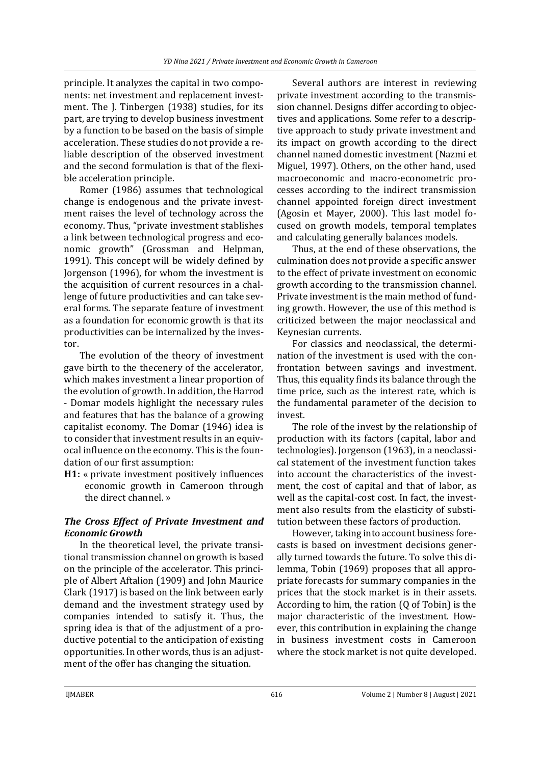principle. It analyzes the capital in two components: net investment and replacement investment. The J. Tinbergen (1938) studies, for its part, are trying to develop business investment by a function to be based on the basis of simple acceleration. These studies do not provide a reliable description of the observed investment and the second formulation is that of the flexible acceleration principle.

Romer (1986) assumes that technological change is endogenous and the private investment raises the level of technology across the economy. Thus, "private investment stablishes a link between technological progress and economic growth" (Grossman and Helpman, 1991). This concept will be widely defined by Jorgenson (1996), for whom the investment is the acquisition of current resources in a challenge of future productivities and can take several forms. The separate feature of investment as a foundation for economic growth is that its productivities can be internalized by the investor.

The evolution of the theory of investment gave birth to the thecenery of the accelerator, which makes investment a linear proportion of the evolution of growth. In addition, the Harrod - Domar models highlight the necessary rules and features that has the balance of a growing capitalist economy. The Domar (1946) idea is to consider that investment results in an equivocal influence on the economy. This is the foundation of our first assumption:

**H1:** « private investment positively influences economic growth in Cameroon through the direct channel. »

# *The Cross Effect of Private Investment and Economic Growth*

In the theoretical level, the private transitional transmission channel on growth is based on the principle of the accelerator. This principle of Albert Aftalion (1909) and John Maurice Clark (1917) is based on the link between early demand and the investment strategy used by companies intended to satisfy it. Thus, the spring idea is that of the adjustment of a productive potential to the anticipation of existing opportunities. In other words, thus is an adjustment of the offer has changing the situation.

Several authors are interest in reviewing private investment according to the transmission channel. Designs differ according to objectives and applications. Some refer to a descriptive approach to study private investment and its impact on growth according to the direct channel named domestic investment (Nazmi et Miguel, 1997). Others, on the other hand, used macroeconomic and macro-econometric processes according to the indirect transmission channel appointed foreign direct investment (Agosin et Mayer, 2000). This last model focused on growth models, temporal templates and calculating generally balances models.

Thus, at the end of these observations, the culmination does not provide a specific answer to the effect of private investment on economic growth according to the transmission channel. Private investment is the main method of funding growth. However, the use of this method is criticized between the major neoclassical and Keynesian currents.

For classics and neoclassical, the determination of the investment is used with the confrontation between savings and investment. Thus, this equality finds its balance through the time price, such as the interest rate, which is the fundamental parameter of the decision to invest.

The role of the invest by the relationship of production with its factors (capital, labor and technologies). Jorgenson (1963), in a neoclassical statement of the investment function takes into account the characteristics of the investment, the cost of capital and that of labor, as well as the capital-cost cost. In fact, the investment also results from the elasticity of substitution between these factors of production.

However, taking into account business forecasts is based on investment decisions generally turned towards the future. To solve this dilemma, Tobin (1969) proposes that all appropriate forecasts for summary companies in the prices that the stock market is in their assets. According to him, the ration (Q of Tobin) is the major characteristic of the investment. However, this contribution in explaining the change in business investment costs in Cameroon where the stock market is not quite developed.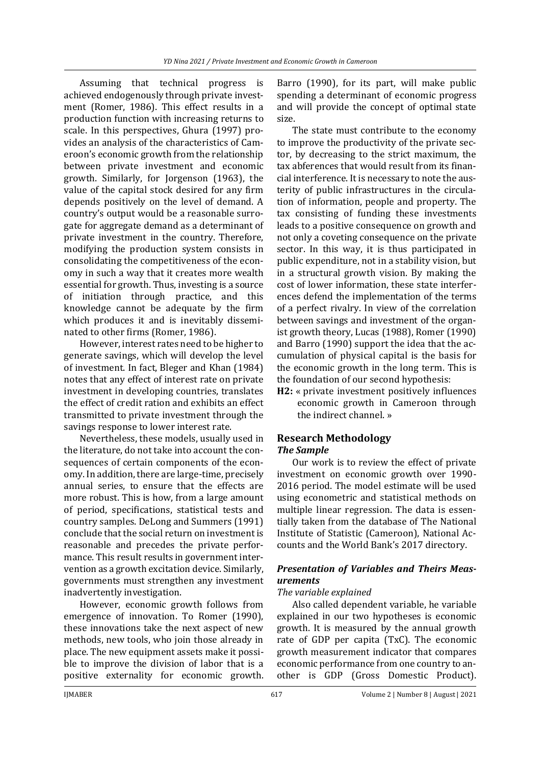Assuming that technical progress is achieved endogenously through private investment (Romer, 1986). This effect results in a production function with increasing returns to scale. In this perspectives, Ghura (1997) provides an analysis of the characteristics of Cameroon's economic growth from the relationship between private investment and economic growth. Similarly, for Jorgenson (1963), the value of the capital stock desired for any firm depends positively on the level of demand. A country's output would be a reasonable surrogate for aggregate demand as a determinant of private investment in the country. Therefore, modifying the production system consists in consolidating the competitiveness of the economy in such a way that it creates more wealth essential for growth. Thus, investing is a source of initiation through practice, and this knowledge cannot be adequate by the firm which produces it and is inevitably disseminated to other firms (Romer, 1986).

However, interest rates need to be higher to generate savings, which will develop the level of investment. In fact, Bleger and Khan (1984) notes that any effect of interest rate on private investment in developing countries, translates the effect of credit ration and exhibits an effect transmitted to private investment through the savings response to lower interest rate.

Nevertheless, these models, usually used in the literature, do not take into account the consequences of certain components of the economy. In addition, there are large-time, precisely annual series, to ensure that the effects are more robust. This is how, from a large amount of period, specifications, statistical tests and country samples. DeLong and Summers (1991) conclude that the social return on investment is reasonable and precedes the private performance. This result results in government intervention as a growth excitation device. Similarly, governments must strengthen any investment inadvertently investigation.

However, economic growth follows from emergence of innovation. To Romer (1990), these innovations take the next aspect of new methods, new tools, who join those already in place. The new equipment assets make it possible to improve the division of labor that is a positive externality for economic growth.

Barro (1990), for its part, will make public spending a determinant of economic progress and will provide the concept of optimal state size.

The state must contribute to the economy to improve the productivity of the private sector, by decreasing to the strict maximum, the tax abferences that would result from its financial interference. It is necessary to note the austerity of public infrastructures in the circulation of information, people and property. The tax consisting of funding these investments leads to a positive consequence on growth and not only a coveting consequence on the private sector. In this way, it is thus participated in public expenditure, not in a stability vision, but in a structural growth vision. By making the cost of lower information, these state interferences defend the implementation of the terms of a perfect rivalry. In view of the correlation between savings and investment of the organist growth theory, Lucas (1988), Romer (1990) and Barro (1990) support the idea that the accumulation of physical capital is the basis for the economic growth in the long term. This is the foundation of our second hypothesis:

**H2:** « private investment positively influences economic growth in Cameroon through the indirect channel. »

#### **Research Methodology** *The Sample*

Our work is to review the effect of private investment on economic growth over 1990- 2016 period. The model estimate will be used using econometric and statistical methods on multiple linear regression. The data is essentially taken from the database of The National Institute of Statistic (Cameroon), National Accounts and the World Bank's 2017 directory.

# *Presentation of Variables and Theirs Measurements*

# *The variable explained*

Also called dependent variable, he variable explained in our two hypotheses is economic growth. It is measured by the annual growth rate of GDP per capita (TxC). The economic growth measurement indicator that compares economic performance from one country to another is GDP (Gross Domestic Product).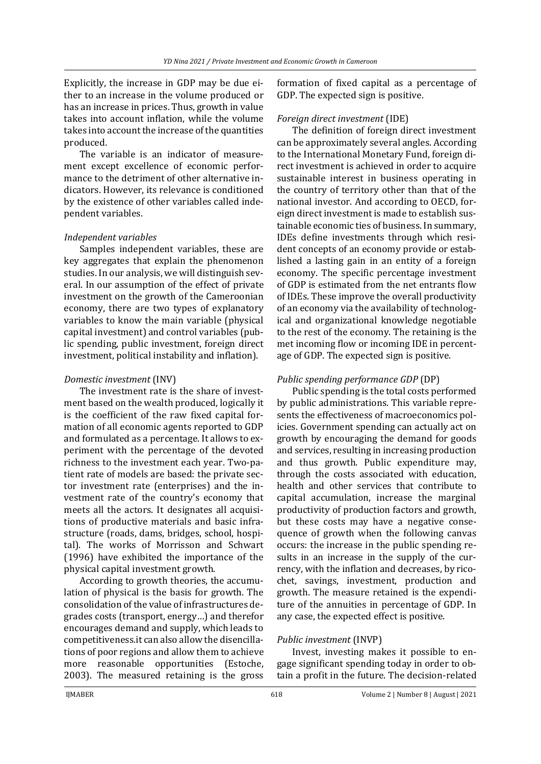Explicitly, the increase in GDP may be due either to an increase in the volume produced or has an increase in prices. Thus, growth in value takes into account inflation, while the volume takes into account the increase of the quantities produced.

The variable is an indicator of measurement except excellence of economic performance to the detriment of other alternative indicators. However, its relevance is conditioned by the existence of other variables called independent variables.

#### *Independent variables*

Samples independent variables, these are key aggregates that explain the phenomenon studies. In our analysis, we will distinguish several. In our assumption of the effect of private investment on the growth of the Cameroonian economy, there are two types of explanatory variables to know the main variable (physical capital investment) and control variables (public spending, public investment, foreign direct investment, political instability and inflation).

#### *Domestic investment* (INV)

The investment rate is the share of investment based on the wealth produced, logically it is the coefficient of the raw fixed capital formation of all economic agents reported to GDP and formulated as a percentage. It allows to experiment with the percentage of the devoted richness to the investment each year. Two-patient rate of models are based: the private sector investment rate (enterprises) and the investment rate of the country's economy that meets all the actors. It designates all acquisitions of productive materials and basic infrastructure (roads, dams, bridges, school, hospital). The works of Morrisson and Schwart (1996) have exhibited the importance of the physical capital investment growth.

According to growth theories, the accumulation of physical is the basis for growth. The consolidation of the value of infrastructures degrades costs (transport, energy…) and therefor encourages demand and supply, which leads to competitiveness.it can also allow the disencillations of poor regions and allow them to achieve more reasonable opportunities (Estoche, 2003). The measured retaining is the gross

formation of fixed capital as a percentage of GDP. The expected sign is positive.

#### *Foreign direct investment* (IDE)

The definition of foreign direct investment can be approximately several angles. According to the International Monetary Fund, foreign direct investment is achieved in order to acquire sustainable interest in business operating in the country of territory other than that of the national investor. And according to OECD, foreign direct investment is made to establish sustainable economic ties of business. In summary, IDEs define investments through which resident concepts of an economy provide or established a lasting gain in an entity of a foreign economy. The specific percentage investment of GDP is estimated from the net entrants flow of IDEs. These improve the overall productivity of an economy via the availability of technological and organizational knowledge negotiable to the rest of the economy. The retaining is the met incoming flow or incoming IDE in percentage of GDP. The expected sign is positive.

# *Public spending performance GDP* (DP)

Public spending is the total costs performed by public administrations. This variable represents the effectiveness of macroeconomics policies. Government spending can actually act on growth by encouraging the demand for goods and services, resulting in increasing production and thus growth. Public expenditure may, through the costs associated with education, health and other services that contribute to capital accumulation, increase the marginal productivity of production factors and growth, but these costs may have a negative consequence of growth when the following canvas occurs: the increase in the public spending results in an increase in the supply of the currency, with the inflation and decreases, by ricochet, savings, investment, production and growth. The measure retained is the expenditure of the annuities in percentage of GDP. In any case, the expected effect is positive.

# *Public investment* (INVP)

Invest, investing makes it possible to engage significant spending today in order to obtain a profit in the future. The decision-related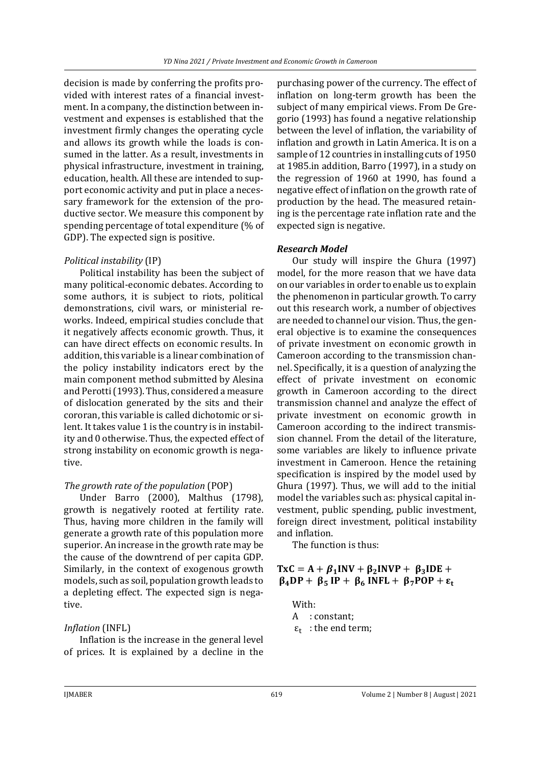decision is made by conferring the profits provided with interest rates of a financial investment. In a company, the distinction between investment and expenses is established that the investment firmly changes the operating cycle and allows its growth while the loads is consumed in the latter. As a result, investments in physical infrastructure, investment in training, education, health. All these are intended to support economic activity and put in place a necessary framework for the extension of the productive sector. We measure this component by spending percentage of total expenditure (% of GDP). The expected sign is positive.

#### *Political instability* (IP)

Political instability has been the subject of many political-economic debates. According to some authors, it is subject to riots, political demonstrations, civil wars, or ministerial reworks. Indeed, empirical studies conclude that it negatively affects economic growth. Thus, it can have direct effects on economic results. In addition, this variable is a linear combination of the policy instability indicators erect by the main component method submitted by Alesina and Perotti (1993). Thus, considered a measure of dislocation generated by the sits and their cororan, this variable is called dichotomic or silent. It takes value 1 is the country is in instability and 0 otherwise. Thus, the expected effect of strong instability on economic growth is negative.

#### *The growth rate of the population* (POP)

Under Barro (2000), Malthus (1798), growth is negatively rooted at fertility rate. Thus, having more children in the family will generate a growth rate of this population more superior. An increase in the growth rate may be the cause of the downtrend of per capita GDP. Similarly, in the context of exogenous growth models, such as soil, population growth leads to a depleting effect. The expected sign is negative.

# *Inflation* (INFL)

Inflation is the increase in the general level of prices. It is explained by a decline in the

purchasing power of the currency. The effect of inflation on long-term growth has been the subject of many empirical views. From De Gregorio (1993) has found a negative relationship between the level of inflation, the variability of inflation and growth in Latin America. It is on a sample of 12 countries in installing cuts of 1950 at 1985.in addition, Barro (1997), in a study on the regression of 1960 at 1990, has found a negative effect of inflation on the growth rate of production by the head. The measured retaining is the percentage rate inflation rate and the expected sign is negative.

# *Research Model*

Our study will inspire the Ghura (1997) model, for the more reason that we have data on our variables in order to enable us to explain the phenomenon in particular growth. To carry out this research work, a number of objectives are needed to channel our vision. Thus, the general objective is to examine the consequences of private investment on economic growth in Cameroon according to the transmission channel. Specifically, it is a question of analyzing the effect of private investment on economic growth in Cameroon according to the direct transmission channel and analyze the effect of private investment on economic growth in Cameroon according to the indirect transmission channel. From the detail of the literature, some variables are likely to influence private investment in Cameroon. Hence the retaining specification is inspired by the model used by Ghura (1997). Thus, we will add to the initial model the variables such as: physical capital investment, public spending, public investment, foreign direct investment, political instability and inflation.

The function is thus:

#### $\text{TxC} = \text{A} + \beta_1 \text{INV} + \beta_2 \text{INV} + \beta_3 \text{IDE} +$  $\beta_4DP + \beta_5 IP + \beta_6 INFL + \beta_7 POP + \epsilon_t$

With:

- A : constant;
- $\varepsilon_{t}$ : the end term;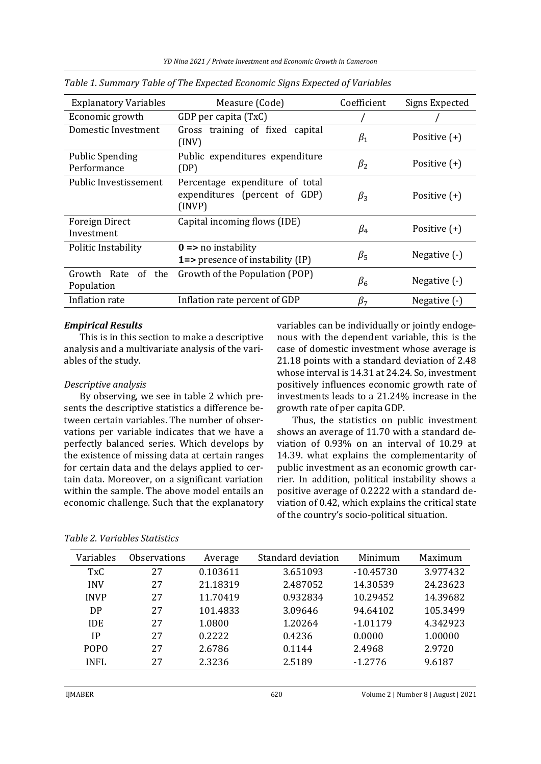| <b>Explanatory Variables</b>          | Measure (Code)                                                                                            | Coefficient | Signs Expected |  |
|---------------------------------------|-----------------------------------------------------------------------------------------------------------|-------------|----------------|--|
| Economic growth                       | GDP per capita (TxC)                                                                                      |             |                |  |
| Domestic Investment                   | Gross training of fixed capital<br>Positive $(+)$<br>$\beta_1$<br>(INV)                                   |             |                |  |
| <b>Public Spending</b><br>Performance | Public expenditures expenditure<br>Positive $(+)$<br>$\beta_2$<br>(DP)                                    |             |                |  |
| Public Investissement                 | Percentage expenditure of total<br>expenditures (percent of GDP)<br>$\beta_3$<br>Positive $(+)$<br>(INVP) |             |                |  |
| Foreign Direct<br>Investment          | Capital incoming flows (IDE)<br>Positive $(+)$<br>$\beta_4$                                               |             |                |  |
| Politic Instability                   | $0 \Rightarrow$ no instability<br>1=> presence of instability (IP)                                        | $\beta_{5}$ | Negative (-)   |  |
| Growth Rate<br>of the<br>Population   | Growth of the Population (POP)<br>$\beta_6$                                                               |             | Negative (-)   |  |
| Inflation rate                        | Inflation rate percent of GDP                                                                             | $\beta_7$   | Negative (-)   |  |

*Table 1. Summary Table of The Expected Economic Signs Expected of Variables*

#### *Empirical Results*

This is in this section to make a descriptive analysis and a multivariate analysis of the variables of the study.

#### *Descriptive analysis*

By observing, we see in table 2 which presents the descriptive statistics a difference between certain variables. The number of observations per variable indicates that we have a perfectly balanced series. Which develops by the existence of missing data at certain ranges for certain data and the delays applied to certain data. Moreover, on a significant variation within the sample. The above model entails an economic challenge. Such that the explanatory variables can be individually or jointly endogenous with the dependent variable, this is the case of domestic investment whose average is 21.18 points with a standard deviation of 2.48 whose interval is 14.31 at 24.24. So, investment positively influences economic growth rate of investments leads to a 21.24% increase in the growth rate of per capita GDP.

Thus, the statistics on public investment shows an average of 11.70 with a standard deviation of 0.93% on an interval of 10.29 at 14.39. what explains the complementarity of public investment as an economic growth carrier. In addition, political instability shows a positive average of 0.2222 with a standard deviation of 0.42, which explains the critical state of the country's socio-political situation.

| Variables   | <b>Observations</b> | Average  | Standard deviation | Minimum     | Maximum  |
|-------------|---------------------|----------|--------------------|-------------|----------|
| TxC         | 27                  | 0.103611 | 3.651093           | $-10.45730$ | 3.977432 |
| <b>INV</b>  | 27                  | 21.18319 | 2.487052           | 14.30539    | 24.23623 |
| <b>INVP</b> | 27                  | 11.70419 | 0.932834           | 10.29452    | 14.39682 |
| DP          | 27                  | 101.4833 | 3.09646            | 94.64102    | 105.3499 |
| <b>IDE</b>  | 27                  | 1.0800   | 1.20264            | $-1.01179$  | 4.342923 |
| IP          | 27                  | 0.2222   | 0.4236             | 0.0000      | 1.00000  |
| <b>POPO</b> | 27                  | 2.6786   | 0.1144             | 2.4968      | 2.9720   |
| <b>INFL</b> | 27                  | 2.3236   | 2.5189             | $-1.2776$   | 9.6187   |

*Table 2. Variables Statistics*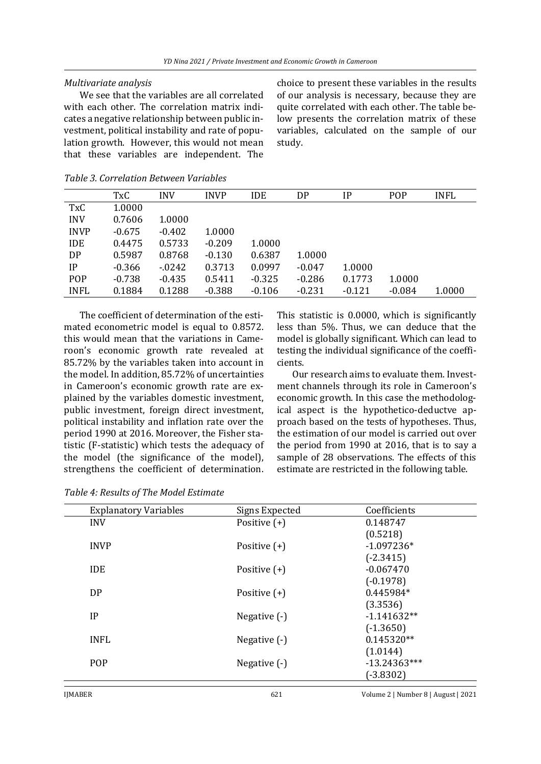#### *Multivariate analysis*

We see that the variables are all correlated with each other. The correlation matrix indicates a negative relationship between public investment, political instability and rate of population growth. However, this would not mean that these variables are independent. The

choice to present these variables in the results of our analysis is necessary, because they are quite correlated with each other. The table below presents the correlation matrix of these variables, calculated on the sample of our study.

|             | TxC      | <b>INV</b> | <b>INVP</b> | <b>IDE</b> | DP       | IP       | POP      | <b>INFL</b> |
|-------------|----------|------------|-------------|------------|----------|----------|----------|-------------|
| <b>TxC</b>  | 1.0000   |            |             |            |          |          |          |             |
| <b>INV</b>  | 0.7606   | 1.0000     |             |            |          |          |          |             |
| <b>INVP</b> | $-0.675$ | $-0.402$   | 1.0000      |            |          |          |          |             |
| <b>IDE</b>  | 0.4475   | 0.5733     | $-0.209$    | 1.0000     |          |          |          |             |
| <b>DP</b>   | 0.5987   | 0.8768     | $-0.130$    | 0.6387     | 1.0000   |          |          |             |
| IP          | $-0.366$ | $-0242$    | 0.3713      | 0.0997     | $-0.047$ | 1.0000   |          |             |
| POP         | $-0.738$ | $-0.435$   | 0.5411      | $-0.325$   | $-0.286$ | 0.1773   | 1.0000   |             |
| <b>INFL</b> | 0.1884   | 0.1288     | $-0.388$    | $-0.106$   | $-0.231$ | $-0.121$ | $-0.084$ | 1.0000      |

#### *Table 3. Correlation Between Variables*

The coefficient of determination of the estimated econometric model is equal to 0.8572. this would mean that the variations in Cameroon's economic growth rate revealed at 85.72% by the variables taken into account in the model. In addition, 85.72% of uncertainties in Cameroon's economic growth rate are explained by the variables domestic investment, public investment, foreign direct investment, political instability and inflation rate over the period 1990 at 2016. Moreover, the Fisher statistic (F-statistic) which tests the adequacy of the model (the significance of the model), strengthens the coefficient of determination.

This statistic is 0.0000, which is significantly less than 5%. Thus, we can deduce that the model is globally significant. Which can lead to testing the individual significance of the coefficients.

Our research aims to evaluate them. Investment channels through its role in Cameroon's economic growth. In this case the methodological aspect is the hypothetico-deductve approach based on the tests of hypotheses. Thus, the estimation of our model is carried out over the period from 1990 at 2016, that is to say a sample of 28 observations. The effects of this estimate are restricted in the following table.

| <b>Explanatory Variables</b> | Signs Expected | Coefficients   |
|------------------------------|----------------|----------------|
| <b>INV</b>                   | Positive $(+)$ | 0.148747       |
|                              |                | (0.5218)       |
| <b>INVP</b>                  | Positive $(+)$ | $-1.097236*$   |
|                              |                | $(-2.3415)$    |
| <b>IDE</b>                   | Positive $(+)$ | $-0.067470$    |
|                              |                | $(-0.1978)$    |
| DP                           | Positive $(+)$ | 0.445984*      |
|                              |                | (3.3536)       |
| IP                           | Negative (-)   | $-1.141632**$  |
|                              |                | $(-1.3650)$    |
| <b>INFL</b>                  | Negative (-)   | $0.145320**$   |
|                              |                | (1.0144)       |
| <b>POP</b>                   | Negative $(-)$ | $-13.24363***$ |
|                              |                | $(-3.8302)$    |

*Table 4: Results of The Model Estimate*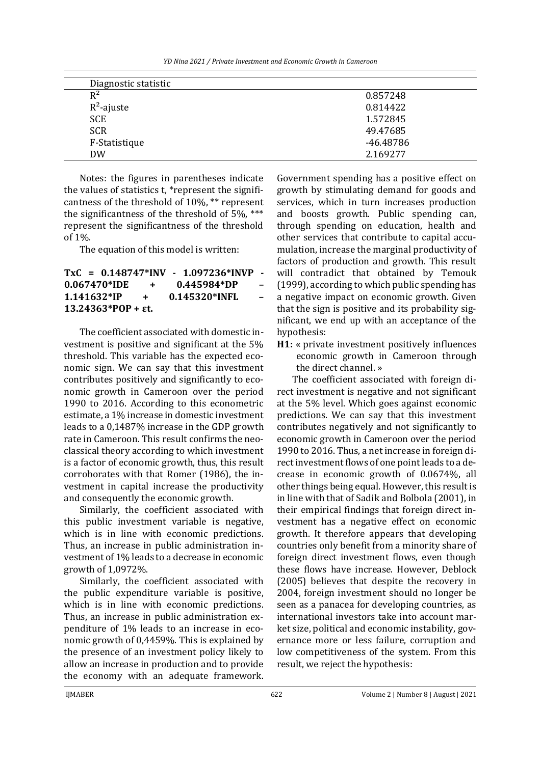| YD Nina 2021 / Private Investment and Economic Growth in Cameroon |  |
|-------------------------------------------------------------------|--|
|-------------------------------------------------------------------|--|

| Diagnostic statistic |           |
|----------------------|-----------|
| $R^2$                | 0.857248  |
| $R^2$ -ajuste        | 0.814422  |
| <b>SCE</b>           | 1.572845  |
| <b>SCR</b>           | 49.47685  |
| F-Statistique        | -46.48786 |
| <b>DW</b>            | 2.169277  |

Notes: the figures in parentheses indicate the values of statistics t, \*represent the significantness of the threshold of 10%, \*\* represent the significantness of the threshold of 5%, \*\*\* represent the significantness of the threshold of 1%.

The equation of this model is written:

**TxC = 0.148747\*INV - 1.097236\*INVP - 0.067470\*IDE + 0.445984\*DP – 1.141632\*IP + 0.145320\*INFL – 13.24363\*POP + εt.**

The coefficient associated with domestic investment is positive and significant at the 5% threshold. This variable has the expected economic sign. We can say that this investment contributes positively and significantly to economic growth in Cameroon over the period 1990 to 2016. According to this econometric estimate, a 1% increase in domestic investment leads to a 0,1487% increase in the GDP growth rate in Cameroon. This result confirms the neoclassical theory according to which investment is a factor of economic growth, thus, this result corroborates with that Romer (1986), the investment in capital increase the productivity and consequently the economic growth.

Similarly, the coefficient associated with this public investment variable is negative, which is in line with economic predictions. Thus, an increase in public administration investment of 1% leads to a decrease in economic growth of 1,0972%.

Similarly, the coefficient associated with the public expenditure variable is positive, which is in line with economic predictions. Thus, an increase in public administration expenditure of 1% leads to an increase in economic growth of 0,4459%. This is explained by the presence of an investment policy likely to allow an increase in production and to provide the economy with an adequate framework.

Government spending has a positive effect on growth by stimulating demand for goods and services, which in turn increases production and boosts growth. Public spending can, through spending on education, health and other services that contribute to capital accumulation, increase the marginal productivity of factors of production and growth. This result will contradict that obtained by Temouk (1999), according to which public spending has a negative impact on economic growth. Given that the sign is positive and its probability significant, we end up with an acceptance of the hypothesis:

**H1:** « private investment positively influences economic growth in Cameroon through the direct channel. »

The coefficient associated with foreign direct investment is negative and not significant at the 5% level. Which goes against economic predictions. We can say that this investment contributes negatively and not significantly to economic growth in Cameroon over the period 1990 to 2016. Thus, a net increase in foreign direct investment flows of one point leads to a decrease in economic growth of 0.0674%, all other things being equal. However, this result is in line with that of Sadik and Bolbola (2001), in their empirical findings that foreign direct investment has a negative effect on economic growth. It therefore appears that developing countries only benefit from a minority share of foreign direct investment flows, even though these flows have increase. However, Deblock (2005) believes that despite the recovery in 2004, foreign investment should no longer be seen as a panacea for developing countries, as international investors take into account market size, political and economic instability, governance more or less failure, corruption and low competitiveness of the system. From this result, we reject the hypothesis: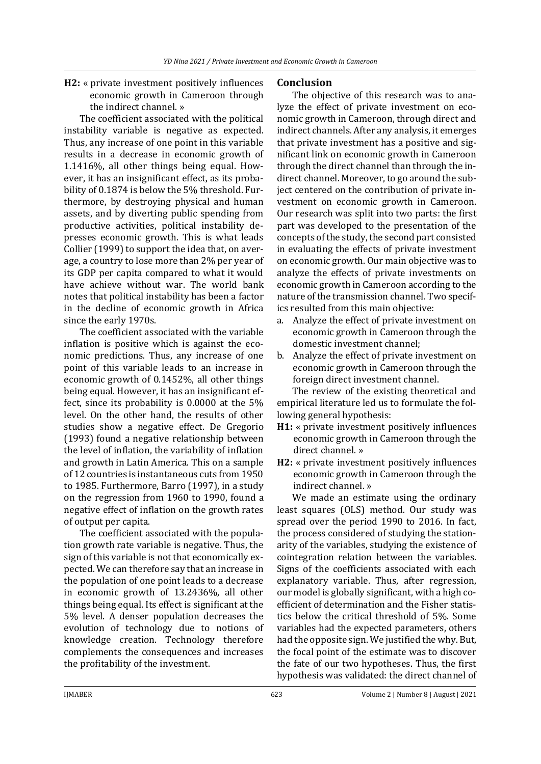# **H2:** « private investment positively influences economic growth in Cameroon through the indirect channel. »

The coefficient associated with the political instability variable is negative as expected. Thus, any increase of one point in this variable results in a decrease in economic growth of 1.1416%, all other things being equal. However, it has an insignificant effect, as its probability of 0.1874 is below the 5% threshold. Furthermore, by destroying physical and human assets, and by diverting public spending from productive activities, political instability depresses economic growth. This is what leads Collier (1999) to support the idea that, on average, a country to lose more than 2% per year of its GDP per capita compared to what it would have achieve without war. The world bank notes that political instability has been a factor in the decline of economic growth in Africa since the early 1970s.

The coefficient associated with the variable inflation is positive which is against the economic predictions. Thus, any increase of one point of this variable leads to an increase in economic growth of 0.1452%, all other things being equal. However, it has an insignificant effect, since its probability is 0.0000 at the 5% level. On the other hand, the results of other studies show a negative effect. De Gregorio (1993) found a negative relationship between the level of inflation, the variability of inflation and growth in Latin America. This on a sample of 12 countries is instantaneous cuts from 1950 to 1985. Furthermore, Barro (1997), in a study on the regression from 1960 to 1990, found a negative effect of inflation on the growth rates of output per capita.

The coefficient associated with the population growth rate variable is negative. Thus, the sign of this variable is not that economically expected. We can therefore say that an increase in the population of one point leads to a decrease in economic growth of 13.2436%, all other things being equal. Its effect is significant at the 5% level. A denser population decreases the evolution of technology due to notions of knowledge creation. Technology therefore complements the consequences and increases the profitability of the investment.

#### **Conclusion**

The objective of this research was to analyze the effect of private investment on economic growth in Cameroon, through direct and indirect channels. After any analysis, it emerges that private investment has a positive and significant link on economic growth in Cameroon through the direct channel than through the indirect channel. Moreover, to go around the subject centered on the contribution of private investment on economic growth in Cameroon. Our research was split into two parts: the first part was developed to the presentation of the concepts of the study, the second part consisted in evaluating the effects of private investment on economic growth. Our main objective was to analyze the effects of private investments on economic growth in Cameroon according to the nature of the transmission channel. Two specifics resulted from this main objective:

- a. Analyze the effect of private investment on economic growth in Cameroon through the domestic investment channel;
- b. Analyze the effect of private investment on economic growth in Cameroon through the foreign direct investment channel.

The review of the existing theoretical and empirical literature led us to formulate the following general hypothesis:

- **H1:** « private investment positively influences economic growth in Cameroon through the direct channel. »
- **H2:** « private investment positively influences economic growth in Cameroon through the indirect channel. »

We made an estimate using the ordinary least squares (OLS) method. Our study was spread over the period 1990 to 2016. In fact, the process considered of studying the stationarity of the variables, studying the existence of cointegration relation between the variables. Signs of the coefficients associated with each explanatory variable. Thus, after regression, our model is globally significant, with a high coefficient of determination and the Fisher statistics below the critical threshold of 5%. Some variables had the expected parameters, others had the opposite sign. We justified the why. But, the focal point of the estimate was to discover the fate of our two hypotheses. Thus, the first hypothesis was validated: the direct channel of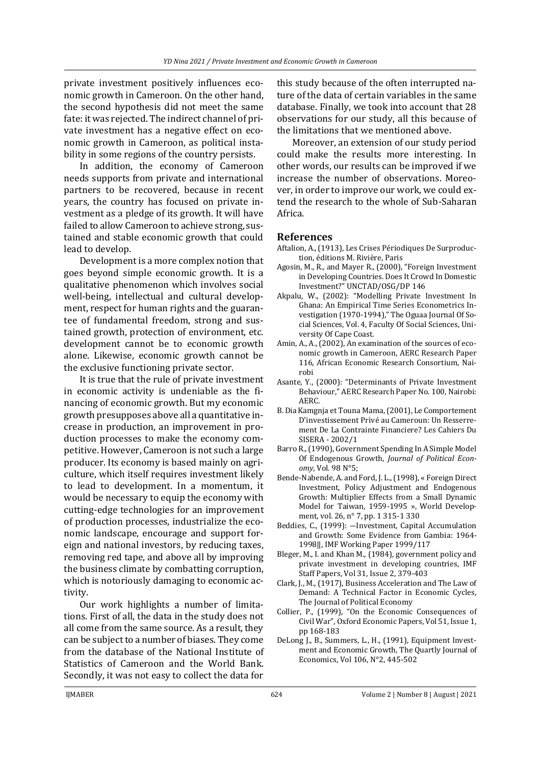private investment positively influences economic growth in Cameroon. On the other hand, the second hypothesis did not meet the same fate: it was rejected. The indirect channel of private investment has a negative effect on economic growth in Cameroon, as political instability in some regions of the country persists.

In addition, the economy of Cameroon needs supports from private and international partners to be recovered, because in recent years, the country has focused on private investment as a pledge of its growth. It will have failed to allow Cameroon to achieve strong, sustained and stable economic growth that could lead to develop.

Development is a more complex notion that goes beyond simple economic growth. It is a qualitative phenomenon which involves social well-being, intellectual and cultural development, respect for human rights and the guarantee of fundamental freedom, strong and sustained growth, protection of environment, etc. development cannot be to economic growth alone. Likewise, economic growth cannot be the exclusive functioning private sector.

It is true that the rule of private investment in economic activity is undeniable as the financing of economic growth. But my economic growth presupposes above all a quantitative increase in production, an improvement in production processes to make the economy competitive. However, Cameroon is not such a large producer. Its economy is based mainly on agriculture, which itself requires investment likely to lead to development. In a momentum, it would be necessary to equip the economy with cutting-edge technologies for an improvement of production processes, industrialize the economic landscape, encourage and support foreign and national investors, by reducing taxes, removing red tape, and above all by improving the business climate by combatting corruption, which is notoriously damaging to economic activity.

Our work highlights a number of limitations. First of all, the data in the study does not all come from the same source. As a result, they can be subject to a number of biases. They come from the database of the National Institute of Statistics of Cameroon and the World Bank. Secondly, it was not easy to collect the data for

this study because of the often interrupted nature of the data of certain variables in the same database. Finally, we took into account that 28 observations for our study, all this because of the limitations that we mentioned above.

Moreover, an extension of our study period could make the results more interesting. In other words, our results can be improved if we increase the number of observations. Moreover, in order to improve our work, we could extend the research to the whole of Sub-Saharan Africa.

#### **References**

- Aftalion, A., (1913), Les Crises Périodiques De Surproduction, éditions M. Rivière, Paris
- Agosin, M., R., and Mayer R., (2000), "Foreign Investment in Developing Countries. Does It Crowd In Domestic Investment?" UNCTAD/OSG/DP 146
- Akpalu, W., (2002): "Modelling Private Investment In Ghana: An Empirical Time Series Econometrics Investigation (1970-1994)," The Oguaa Journal Of Social Sciences, Vol. 4, Faculty Of Social Sciences, University Of Cape Coast.
- Amin, A., A., (2002), An examination of the sources of economic growth in Cameroon, AERC Research Paper 116, African Economic Research Consortium, Nairobi
- Asante, Y., (2000): "Determinants of Private Investment Behaviour," AERC Research Paper No. 100, Nairobi: AERC.
- B. Dia Kamgnja et Touna Mama, (2001), Le Comportement D'investissement Privé au Cameroun: Un Resserrement De La Contrainte Financiere? Les Cahiers Du SISERA - 2002/1
- Barro R., (1990), Government Spending In A Simple Model Of Endogenous Growth, *Journal of Political Economy*, Vol. 98 N°5;
- Bende-Nabende, A. and Ford, J. L., (1998), « Foreign Direct Investment, Policy Adjustment and Endogenous Growth: Multiplier Effects from a Small Dynamic Model for Taiwan, 1959-1995 », World Development, vol. 26, n° 7, pp. 1 315-1 330
- Beddies, C., (1999): ―Investment, Capital Accumulation and Growth: Some Evidence from Gambia: 1964- 1998‖, IMF Working Paper 1999/117
- Bleger, M., I. and Khan M., (1984), government policy and private investment in developing countries, IMF Staff Papers, Vol 31, Issue 2, 379-403
- Clark, J., M., (1917), Business Acceleration and The Law of Demand: A Technical Factor in Economic Cycles, The Journal of Political Economy
- Collier, P., (1999), "On the Economic Consequences of Civil War", Oxford Economic Papers, Vol 51, Issue 1, pp 168-183
- DeLong J., B., Summers, L., H., (1991), Equipment Investment and Economic Growth, The Quartly Journal of Economics, Vol 106, N°2, 445-502